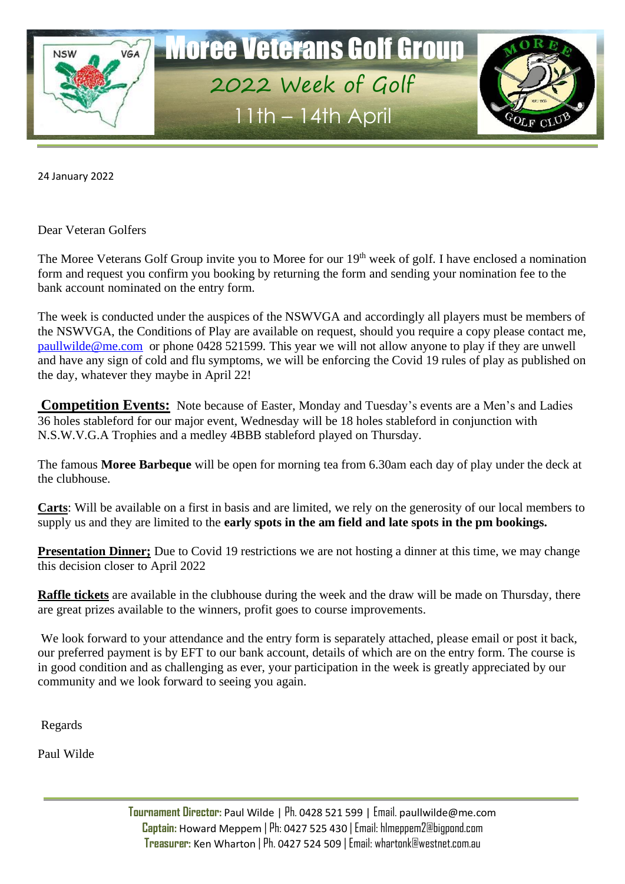

24 January 2022

Dear Veteran Golfers

The Moree Veterans Golf Group invite you to Moree for our 19<sup>th</sup> week of golf. I have enclosed a nomination form and request you confirm you booking by returning the form and sending your nomination fee to the bank account nominated on the entry form.

The week is conducted under the auspices of the NSWVGA and accordingly all players must be members of the NSWVGA, the Conditions of Play are available on request, should you require a copy please contact me, [paullwilde@me.com](mailto:paullwilde@me.com) or phone 0428 521599. This year we will not allow anyone to play if they are unwell and have any sign of cold and flu symptoms, we will be enforcing the Covid 19 rules of play as published on the day, whatever they maybe in April 22!

**Competition Events:** Note because of Easter, Monday and Tuesday's events are a Men's and Ladies 36 holes stableford for our major event, Wednesday will be 18 holes stableford in conjunction with N.S.W.V.G.A Trophies and a medley 4BBB stableford played on Thursday.

The famous **Moree Barbeque** will be open for morning tea from 6.30am each day of play under the deck at the clubhouse.

**Carts**: Will be available on a first in basis and are limited, we rely on the generosity of our local members to supply us and they are limited to the **early spots in the am field and late spots in the pm bookings.**

**Presentation Dinner;** Due to Covid 19 restrictions we are not hosting a dinner at this time, we may change this decision closer to April 2022

**Raffle tickets** are available in the clubhouse during the week and the draw will be made on Thursday, there are great prizes available to the winners, profit goes to course improvements.

We look forward to your attendance and the entry form is separately attached, please email or post it back, our preferred payment is by EFT to our bank account, details of which are on the entry form. The course is in good condition and as challenging as ever, your participation in the week is greatly appreciated by our community and we look forward to seeing you again.

Regards

Paul Wilde